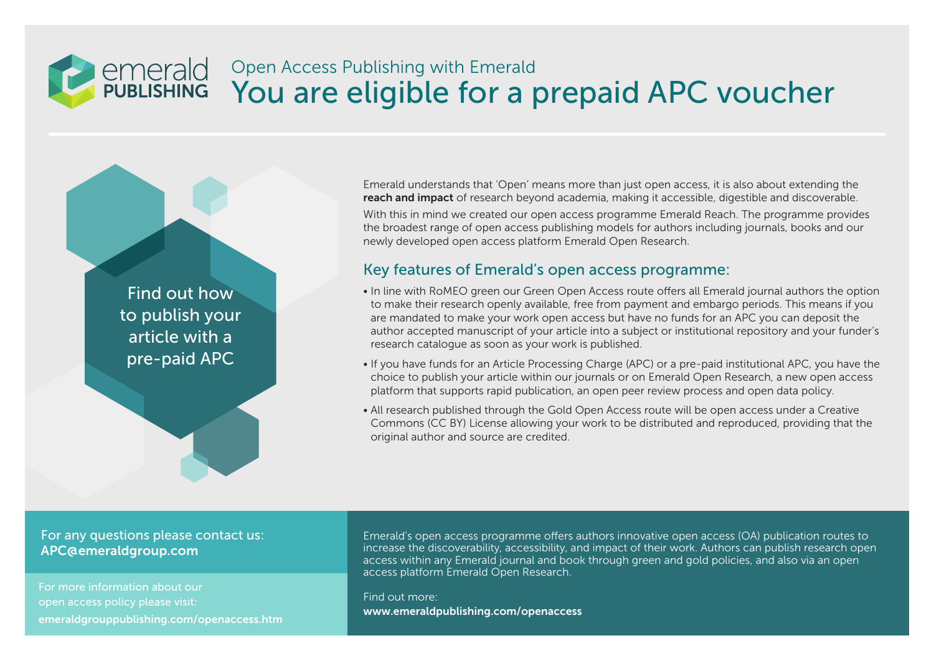## **emerald**<br>**PUBLISHING** Open Access Publishing with Emerald You are eligible for a prepaid APC voucher

Find out how to publish your article with a pre-paid APC

Emerald understands that 'Open' means more than just open access, it is also about extending the reach and impact of research beyond academia, making it accessible, digestible and discoverable. With this in mind we created our open access programme Emerald Reach. The programme provides the broadest range of open access publishing models for authors including journals, books and our newly developed open access platform Emerald Open Research.

## Key features of Emerald's open access programme:

- In line with RoMEO green our Green Open Access route offers all Emerald journal authors the option to make their research openly available, free from payment and embargo periods. This means if you are mandated to make your work open access but have no funds for an APC you can deposit the author accepted manuscript of your article into a subject or institutional repository and your funder's research catalogue as soon as your work is published.
- If you have funds for an Article Processing Charge (APC) or a pre-paid institutional APC, you have the choice to publish your article within our journals or on Emerald Open Research, a new open access platform that supports rapid publication, an open peer review process and open data policy.
- All research published through the Gold Open Access route will be open access under a Creative Commons (CC BY) License allowing your work to be distributed and reproduced, providing that the original author and source are credited.

#### For any questions please contact us: APC@emeraldgroup.com

For more information about our open access policy please visit: emeraldgrouppublishing.com/openaccess.htm Emerald's open access programme offers authors innovative open access (OA) publication routes to increase the discoverability, accessibility, and impact of their work. Authors can publish research open access within any Emerald journal and book through green and gold policies, and also via an open access platform Emerald Open Research.

Find out more: www.emeraldpublishing.com/openaccess